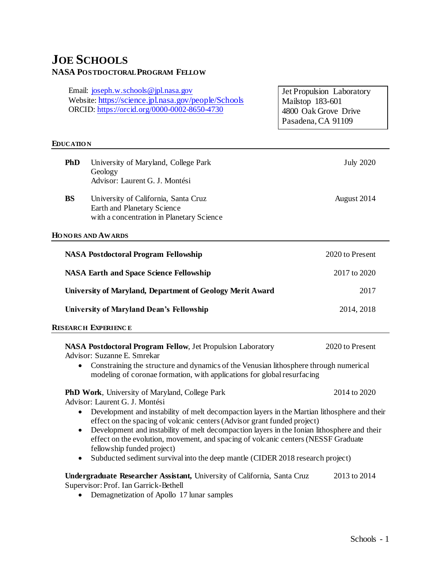# **JOE SCHOOLS NASA POSTDOCTORAL PROGRAM FELLOW**

Email: [joseph.w.schools@jpl.nasa.gov](mailto:joseph.w.schools@jpl.nasa.gov) Website: <https://science.jpl.nasa.gov/people/Schools> ORCID:<https://orcid.org/0000-0002-8650-4730>

Jet Propulsion Laboratory Mailstop 183-601 4800 Oak Grove Drive Pasadena, CA 91109

#### **EDUCATIO N**

| PhD                                                                                                                                                                                   | University of Maryland, College Park<br>Geology<br>Advisor: Laurent G. J. Montési                                | <b>July 2020</b> |
|---------------------------------------------------------------------------------------------------------------------------------------------------------------------------------------|------------------------------------------------------------------------------------------------------------------|------------------|
| <b>BS</b>                                                                                                                                                                             | University of California, Santa Cruz<br>Earth and Planetary Science<br>with a concentration in Planetary Science | August 2014      |
|                                                                                                                                                                                       | HONORS AND AWARDS                                                                                                |                  |
|                                                                                                                                                                                       | <b>NASA Postdoctoral Program Fellowship</b>                                                                      | 2020 to Present  |
|                                                                                                                                                                                       | <b>NASA Earth and Space Science Fellowship</b>                                                                   | 2017 to 2020     |
|                                                                                                                                                                                       | University of Maryland, Department of Geology Merit Award                                                        | 2017             |
|                                                                                                                                                                                       | University of Maryland Dean's Fellowship                                                                         | 2014, 2018       |
|                                                                                                                                                                                       | <b>RESEARCH EXPERIENCE</b>                                                                                       |                  |
|                                                                                                                                                                                       | <b>NASA Postdoctoral Program Fellow, Jet Propulsion Laboratory</b><br>Advisor: Suzanne E. Smrekar                | 2020 to Present  |
| Constraining the structure and dynamics of the Venusian lithosphere through numerical<br>$\bullet$<br>modeling of coronae formation, with applications for global resurfacing         |                                                                                                                  |                  |
|                                                                                                                                                                                       | PhD Work, University of Maryland, College Park<br>Advisor: Laurent G. J. Montési                                 | 2014 to 2020     |
| Development and instability of melt decompaction layers in the Martian lithosphere and their<br>$\bullet$<br>effect on the spacing of volcanic centers (Advisor grant funded project) |                                                                                                                  |                  |
| Development and instability of melt decompaction layers in the Ionian lithosphere and their<br>$\bullet$                                                                              |                                                                                                                  |                  |

- effect on the evolution, movement, and spacing of volcanic centers (NESSF Graduate fellowship funded project)
- Subducted sediment survival into the deep mantle (CIDER 2018 research project)

**Undergraduate Researcher Assistant,** University of California, Santa Cruz 2013 to 2014 Supervisor: Prof. Ian Garrick-Bethell

• Demagnetization of Apollo 17 lunar samples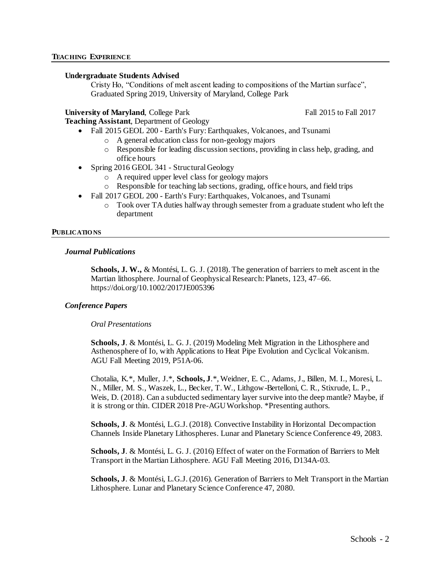# **Undergraduate Students Advised**

Cristy Ho, "Conditions of melt ascent leading to compositions of the Martian surface", Graduated Spring 2019, University of Maryland, College Park

# **University of Maryland**, College Park Fall 2015 to Fall 2017

**Teaching Assistant**, Department of Geology

- Fall 2015 GEOL 200 Earth's Fury: Earthquakes, Volcanoes, and Tsunami
	- o A general education class for non-geology majors
	- o Responsible for leading discussion sections, providing in class help, grading, and office hours
- Spring 2016 GEOL 341 Structural Geology
	- o A required upper level class for geology majors
	- o Responsible for teaching lab sections, grading, office hours, and field trips
- Fall 2017 GEOL 200 Earth's Fury: Earthquakes, Volcanoes, and Tsunami
	- $\circ$  Took over TA duties halfway through semester from a graduate student who left the department

## **PUBLICATIO NS**

## *Journal Publications*

**Schools, J. W.,** & Montési, L. G. J. (2018). The generation of barriers to melt ascent in the Martian lithosphere. Journal of Geophysical Research: Planets, 123, 47–66. https://doi.org/10.1002/2017JE005396

# *Conference Papers*

## *Oral Presentations*

**Schools, J**. & Montési, L. G. J. (2019) Modeling Melt Migration in the Lithosphere and Asthenosphere of Io, with Applications to Heat Pipe Evolution and Cyclical Volcanism. AGU Fall Meeting 2019, P51A-06.

Chotalia, K.\*, Muller, J.\*, **Schools, J**.\*, Weidner, E. C., Adams, J., Billen, M. I., Moresi, L. N., Miller, M. S., Waszek, L., Becker, T. W., Lithgow-Bertelloni, C. R., Stixrude, L. P., Weis, D. (2018). Can a subducted sedimentary layer survive into the deep mantle? Maybe, if it is strong or thin. CIDER 2018 Pre-AGU Workshop. \*Presenting authors.

**Schools, J**. & Montési, L.G.J. (2018). Convective Instability in Horizontal Decompaction Channels Inside Planetary Lithospheres. Lunar and Planetary Science Conference 49, 2083.

**Schools, J**. & Montési, L. G. J. (2016) Effect of water on the Formation of Barriers to Melt Transport in the Martian Lithosphere. AGU Fall Meeting 2016, D134A-03.

**Schools, J**. & Montési, L.G.J. (2016). Generation of Barriers to Melt Transport in the Martian Lithosphere. Lunar and Planetary Science Conference 47, 2080.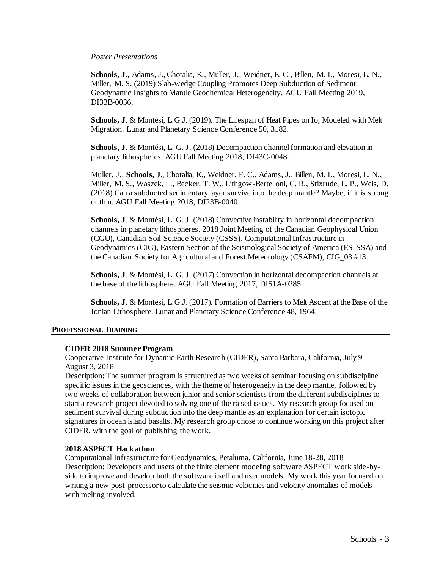#### *Poster Presentations*

**Schools, J.,** Adams, J., Chotalia, K., Muller, J., Weidner, E. C., Billen, M. I., Moresi, L. N., Miller, M. S. (2019) Slab-wedge Coupling Promotes Deep Subduction of Sediment: Geodynamic Insights to Mantle Geochemical Heterogeneity. AGU Fall Meeting 2019, DI33B-0036.

**Schools, J**. & Montési, L.G.J. (2019). The Lifespan of Heat Pipes on Io, Modeled with Melt Migration. Lunar and Planetary Science Conference 50, 3182.

**Schools, J**. & Montési, L. G. J. (2018) Decompaction channel formation and elevation in planetary lithospheres. AGU Fall Meeting 2018, DI43C-0048.

Muller, J., **Schools, J**., Chotalia, K., Weidner, E. C., Adams, J., Billen, M. I., Moresi, L. N., Miller, M. S., Waszek, L., Becker, T. W., Lithgow-Bertelloni, C. R., Stixrude, L. P., Weis, D. (2018) Can a subducted sedimentary layer survive into the deep mantle? Maybe, if it is strong or thin. AGU Fall Meeting 2018, DI23B-0040.

**Schools, J**. & Montési, L. G. J. (2018) Convective instability in horizontal decompaction channels in planetary lithospheres. 2018 Joint Meeting of the Canadian Geophysical Union (CGU), Canadian Soil Science Society (CSSS), Computational Infrastructure in Geodynamics (CIG), Eastern Section of the Seismological Society of America (ES-SSA) and the Canadian Society for Agricultural and Forest Meteorology (CSAFM), CIG\_03 #13.

**Schools, J**. & Montési, L. G. J. (2017) Convection in horizontal decompaction channels at the base of the lithosphere. AGU Fall Meeting 2017, DI51A-0285.

**Schools, J**. & Montési, L.G.J. (2017). Formation of Barriers to Melt Ascent at the Base of the Ionian Lithosphere. Lunar and Planetary Science Conference 48, 1964.

## **PRO FESSIO NAL TRAINING**

## **CIDER 2018 Summer Program**

Cooperative Institute for Dynamic Earth Research (CIDER), Santa Barbara, California, July 9 – August 3, 2018

Description: The summer program is structured as two weeks of seminar focusing on subdiscipline specific issues in the geosciences, with the theme of heterogeneity in the deep mantle, followed by two weeks of collaboration between junior and senior scientists from the different subdisciplines to start a research project devoted to solving one of the raised issues. My research group focused on sediment survival during subduction into the deep mantle as an explanation for certain isotopic signatures in ocean island basalts. My research group chose to continue working on this project after CIDER, with the goal of publishing the work.

#### **2018 ASPECT Hackathon**

Computational Infrastructure for Geodynamics, Petaluma, California, June 18-28, 2018 Description: Developers and users of the finite element modeling software ASPECT work side-byside to improve and develop both the software itself and user models. My work this year focused on writing a new post-processor to calculate the seismic velocities and velocity anomalies of models with melting involved.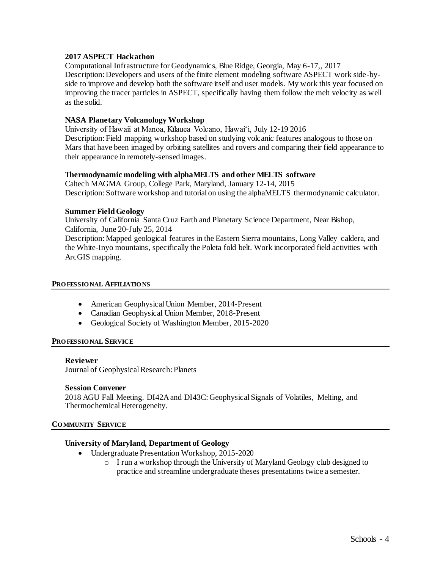# **2017 ASPECT Hackathon**

Computational Infrastructure for Geodynamics, Blue Ridge, Georgia, May 6-17,, 2017 Description: Developers and users of the finite element modeling software ASPECT work side-byside to improve and develop both the software itself and user models. My work this year focused on improving the tracer particles in ASPECT, specifically having them follow the melt velocity as well as the solid.

# **NASA Planetary Volcanology Workshop**

University of Hawaii at Manoa, Kīlauea Volcano, Hawai'i, July 12-19 2016 Description: Field mapping workshop based on studying volcanic features analogous to those on Mars that have been imaged by orbiting satellites and rovers and comparing their field appearance to their appearance in remotely-sensed images.

## **Thermodynamic modeling with alphaMELTS and other MELTS software**

Caltech MAGMA Group, College Park, Maryland, January 12-14, 2015 Description: Software workshop and tutorial on using the alphaMELTS thermodynamic calculator.

## **Summer Field Geology**

University of California Santa Cruz Earth and Planetary Science Department, Near Bishop, California, June 20-July 25, 2014

Description: Mapped geological features in the Eastern Sierra mountains, Long Valley caldera, and the White-Inyo mountains, specifically the Poleta fold belt. Work incorporated field activities with ArcGIS mapping.

#### **PRO FESSIO NAL AFFILIATIO NS**

- American Geophysical Union Member, 2014-Present
- Canadian Geophysical Union Member, 2018-Present
- Geological Society of Washington Member, 2015-2020

## **PRO FESSIO NAL SERVICE**

## **Reviewer**

Journal of Geophysical Research: Planets

## **Session Convener**

2018 AGU Fall Meeting. DI42A and DI43C: Geophysical Signals of Volatiles, Melting, and Thermochemical Heterogeneity.

#### **CO MMUNITY SERVICE**

# **University of Maryland, Department of Geology**

- Undergraduate Presentation Workshop, 2015-2020
	- o I run a workshop through the University of Maryland Geology club designed to practice and streamline undergraduate theses presentations twice a semester.